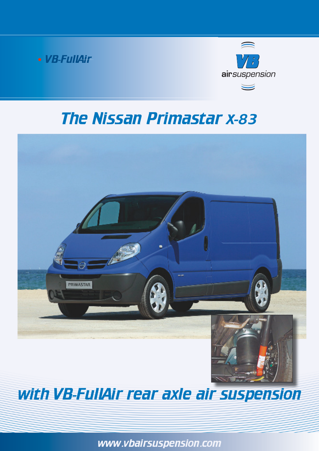



## The Nissan Primastar x-83



## with VB-FullAir rear axle air suspension

www.vbairsuspension.com